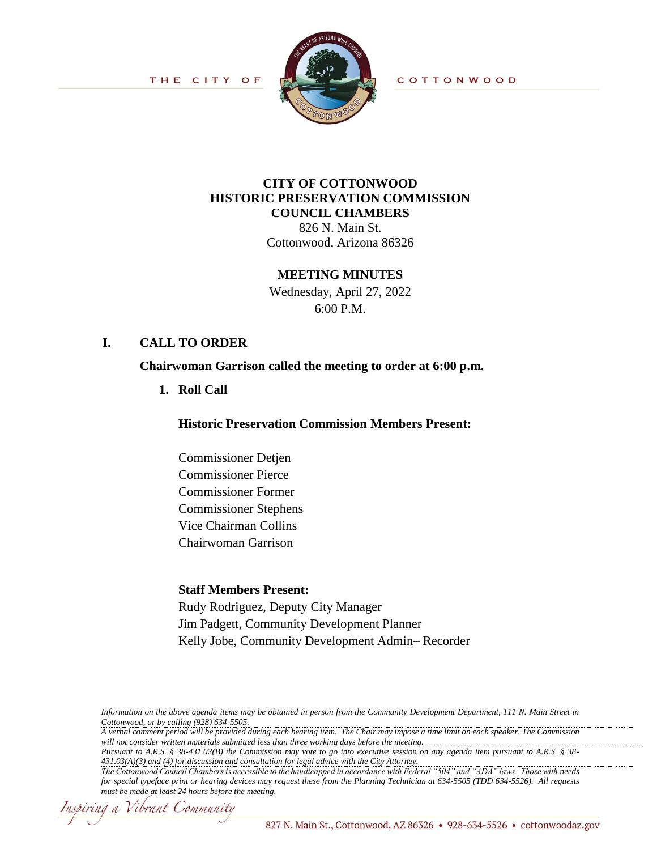THE CITY OF



COTTONWOOD

# **CITY OF COTTONWOOD HISTORIC PRESERVATION COMMISSION COUNCIL CHAMBERS**

826 N. Main St. Cottonwood, Arizona 86326

#### **MEETING MINUTES**

Wednesday, April 27, 2022 6:00 P.M.

#### **I. CALL TO ORDER**

**Chairwoman Garrison called the meeting to order at 6:00 p.m.**

**1. Roll Call**

**Historic Preservation Commission Members Present:**

Commissioner Detjen Commissioner Pierce Commissioner Former Commissioner Stephens Vice Chairman Collins Chairwoman Garrison

#### **Staff Members Present:**

Rudy Rodriguez, Deputy City Manager Jim Padgett, Community Development Planner Kelly Jobe, Community Development Admin– Recorder

*Information on the above agenda items may be obtained in person from the Community Development Department, 111 N. Main Street in Cottonwood, or by calling (928) 634-5505.*

*A verbal comment period will be provided during each hearing item. The Chair may impose a time limit on each speaker. The Commission will not consider written materials submitted less than three working days before the meeting.*

*Pursuant to A.R.S. § 38-431.02(B) the Commission may vote to go into executive session on any agenda item pursuant to A.R.S. § 38- 431.03(A)(3) and (4) for discussion and consultation for legal advice with the City Attorney.* 

Inspiring a Vibrant Community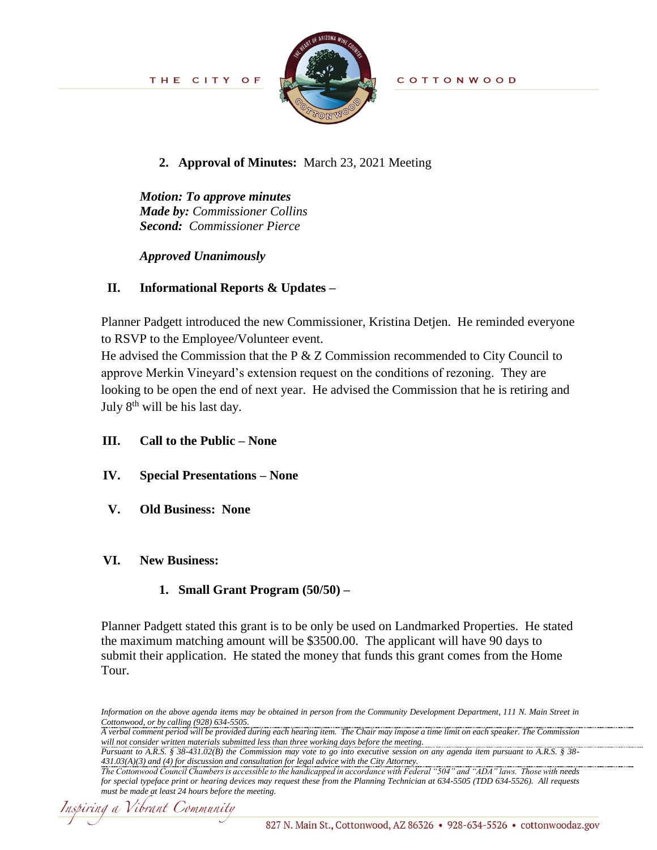

COTTONWOOD

## **2. Approval of Minutes:** March 23, 2021 Meeting

*Motion: To approve minutes Made by: Commissioner Collins Second: Commissioner Pierce*

*Approved Unanimously*

# **II. Informational Reports & Updates –**

Planner Padgett introduced the new Commissioner, Kristina Detjen. He reminded everyone to RSVP to the Employee/Volunteer event.

He advised the Commission that the P & Z Commission recommended to City Council to approve Merkin Vineyard's extension request on the conditions of rezoning. They are looking to be open the end of next year. He advised the Commission that he is retiring and July  $8<sup>th</sup>$  will be his last day.

- **III. Call to the Public – None**
- **IV. Special Presentations – None**
- **V. Old Business: None**

### **VI. New Business:**

# **1. Small Grant Program (50/50) –**

Planner Padgett stated this grant is to be only be used on Landmarked Properties. He stated the maximum matching amount will be \$3500.00. The applicant will have 90 days to submit their application. He stated the money that funds this grant comes from the Home Tour.

*Pursuant to A.R.S. § 38-431.02(B) the Commission may vote to go into executive session on any agenda item pursuant to A.R.S. § 38- 431.03(A)(3) and (4) for discussion and consultation for legal advice with the City Attorney.* 

Inspiring a Vibrant Community

*Information on the above agenda items may be obtained in person from the Community Development Department, 111 N. Main Street in Cottonwood, or by calling (928) 634-5505.*

*A verbal comment period will be provided during each hearing item. The Chair may impose a time limit on each speaker. The Commission will not consider written materials submitted less than three working days before the meeting.*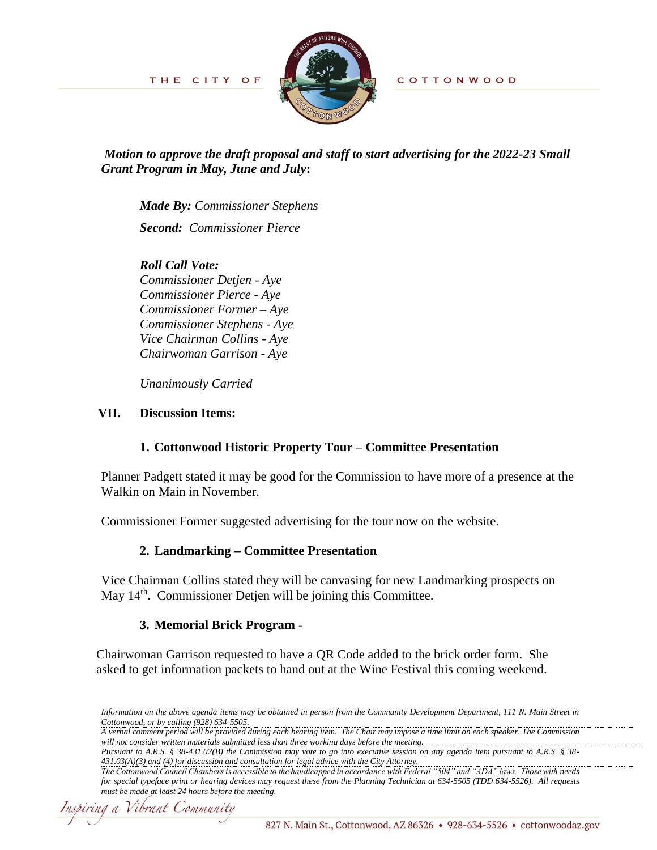COTTONWOOD

THE CITY OF



*Motion to approve the draft proposal and staff to start advertising for the 2022-23 Small Grant Program in May, June and July***:**

*Made By: Commissioner Stephens* 

*Second: Commissioner Pierce* 

# *Roll Call Vote:*

*Commissioner Detjen - Aye Commissioner Pierce - Aye Commissioner Former – Aye Commissioner Stephens - Aye Vice Chairman Collins - Aye Chairwoman Garrison - Aye*

*Unanimously Carried*

### **VII. Discussion Items:**

# **1. Cottonwood Historic Property Tour – Committee Presentation**

Planner Padgett stated it may be good for the Commission to have more of a presence at the Walkin on Main in November.

Commissioner Former suggested advertising for the tour now on the website.

### **2. Landmarking – Committee Presentation**

Vice Chairman Collins stated they will be canvasing for new Landmarking prospects on May 14<sup>th</sup>. Commissioner Detjen will be joining this Committee.

# **3. Memorial Brick Program -**

Chairwoman Garrison requested to have a QR Code added to the brick order form. She asked to get information packets to hand out at the Wine Festival this coming weekend.

*Pursuant to A.R.S. § 38-431.02(B) the Commission may vote to go into executive session on any agenda item pursuant to A.R.S. § 38- 431.03(A)(3) and (4) for discussion and consultation for legal advice with the City Attorney.* 

*Information on the above agenda items may be obtained in person from the Community Development Department, 111 N. Main Street in Cottonwood, or by calling (928) 634-5505.*

*A verbal comment period will be provided during each hearing item. The Chair may impose a time limit on each speaker. The Commission will not consider written materials submitted less than three working days before the meeting.*